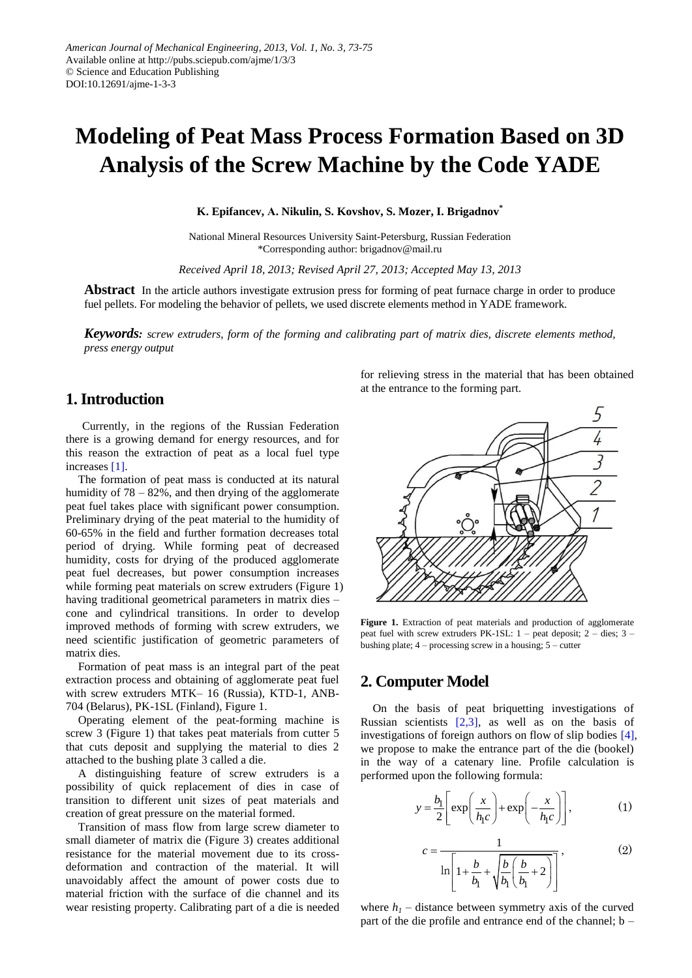# **Modeling of Peat Mass Process Formation Based on 3D Analysis of the Screw Machine by the Code YADE**

**K. Epifancev, А. Nikulin, S. Kovshov, S. Mozer, I. Brigadnov\***

National Mineral Resources University Saint-Petersburg, Russian Federation \*Corresponding author: brigadnov@mail.ru

*Received April 18, 2013; Revised April 27, 2013; Accepted May 13, 2013*

**Abstract** In the article authors investigate extrusion press for forming of peat furnace charge in order to produce fuel pellets. For modeling the behavior of pellets, we used discrete elements method in YADE framework.

*Keywords: screw extruders, form of the forming and calibrating part of matrix dies, discrete elements method, press energy output*

#### **1. Introduction**

Currently, in the regions of the Russian Federation there is a growing demand for energy resources, and for this reason the extraction of peat as a local fuel type increases [\[1\].](#page-2-0)

The formation of peat mass is conducted at its natural humidity of  $78 - 82\%$ , and then drying of the agglomerate peat fuel takes place with significant power consumption. Preliminary drying of the peat material to the humidity of 60-65% in the field and further formation decreases total period of drying. While forming peat of decreased humidity, costs for drying of the produced agglomerate peat fuel decreases, but power consumption increases while forming peat materials on screw extruders (Figure 1) having traditional geometrical parameters in matrix dies – cone and cylindrical transitions. In order to develop improved methods of forming with screw extruders, we need scientific justification of geometric parameters of matrix dies.

Formation of peat mass is an integral part of the peat extraction process and obtaining of agglomerate peat fuel with screw extruders MTK– 16 (Russia), KTD-1, ANB-704 (Belarus), PK-1SL (Finland), Figure 1.

Operating element of the peat-forming machine is screw 3 (Figure 1) that takes peat materials from cutter 5 that cuts deposit and supplying the material to dies 2 attached to the bushing plate 3 called a die.

A distinguishing feature of screw extruders is a possibility of quick replacement of dies in case of transition to different unit sizes of peat materials and creation of great pressure on the material formed.

Transition of mass flow from large screw diameter to small diameter of matrix die (Figure 3) creates additional resistance for the material movement due to its crossdeformation and contraction of the material. It will unavoidably affect the amount of power costs due to material friction with the surface of die channel and its wear resisting property. Calibrating part of a die is needed for relieving stress in the material that has been obtained at the entrance to the forming part.



Figure 1. Extraction of peat materials and production of agglomerate peat fuel with screw extruders  $PK-1SL: 1$  – peat deposit; 2 – dies; 3 – bushing plate;  $4$  – processing screw in a housing;  $5$  – cutter

## **2. Computer Model**

On the basis of peat briquetting investigations of Russian scientists  $[2,3]$ , as well as on the basis of investigations of foreign authors on flow of slip bodies [\[4\],](#page-2-2) we propose to make the entrance part of the die (bookel) in the way of a catenary line. Profile calculation is performed upon the following formula:

$$
y = \frac{b_1}{2} \left[ exp\left(\frac{x}{h_1 c}\right) + exp\left(-\frac{x}{h_1 c}\right) \right],
$$
 (1)

$$
c = \frac{1}{\ln\left[1 + \frac{b}{b_1} + \sqrt{\frac{b}{b_1}\left(\frac{b}{b_1} + 2\right)}\right]},
$$
(2)

where  $h_1$  – distance between symmetry axis of the curved part of the die profile and entrance end of the channel; b –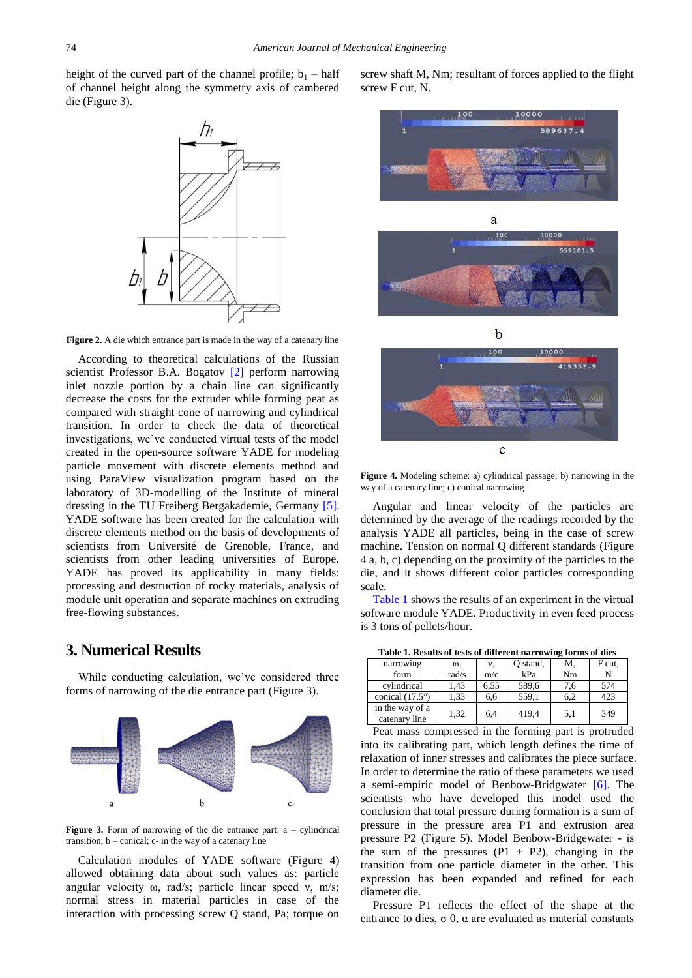height of the curved part of the channel profile;  $b_1$  – half of channel height along the symmetry axis of cambered die (Figure 3).



**Figure 2.** A die which entrance part is made in the way of a catenary line

According to theoretical calculations of the Russian scientist Professor B.A. Bogatov [\[2\]](#page-2-1) perform narrowing inlet nozzle portion by a chain line can significantly decrease the costs for the extruder while forming peat as compared with straight cone of narrowing and cylindrical transition. In order to check the data of theoretical investigations, we've conducted virtual tests of the model created in the open-source software YADE for modeling particle movement with discrete elements method and using ParaView visualization program based on the laboratory of 3D-modelling of the Institute of mineral dressing in the TU Freiberg Bergakademie, Germany [\[5\].](#page-2-3) YADE software has been created for the calculation with discrete elements method on the basis of developments of scientists from Université de Grenoble, France, and scientists from other leading universities of Europe. YADE has proved its applicability in many fields: processing and destruction of rocky materials, analysis of module unit operation and separate machines on extruding free-flowing substances.

#### **3. Numerical Results**

While conducting calculation, we've considered three forms of narrowing of the die entrance part (Figure 3).



Figure 3. Form of narrowing of the die entrance part: a – cylindrical transition;  $b$  – conical;  $c$ - in the way of a catenary line

Calculation modules of YADE software (Figure 4) allowed obtaining data about such values as: particle angular velocity ω, rad/s; particle linear speed ν, m/s; normal stress in material particles in case of the interaction with processing screw Q stand, Pa; torque on screw shaft М, Nm; resultant of forces applied to the flight screw F cut, N.





**Figure 4.** Modeling scheme: а) cylindrical passage; b) narrowing in the way of a catenary line; c) conical narrowing

Angular and linear velocity of the particles are determined by the average of the readings recorded by the analysis YADE all particles, being in the case of screw machine. Tension on normal Q different standards (Figure 4 a, b, c) depending on the proximity of the particles to the die, and it shows different color particles corresponding scale.

[Table 1](#page-1-0) shows the results of an experiment in the virtual software module YADE. Productivity in even feed process is 3 tons of pellets/hour.

**Table 1. Results of tests of different narrowing forms of dies**

<span id="page-1-0"></span>

| narrowing                        | ω,    | ν,   | Q stand, | M.  | F cut. |
|----------------------------------|-------|------|----------|-----|--------|
| form                             | rad/s | m/c  | kPa      | Nm  |        |
| cylindrical                      | 1.43  | 6,55 | 589.6    | 7,6 | 574    |
| conical $(17.5^{\circ})$         | 1.33  | 6,6  | 559,1    | 6,2 | 423    |
| in the way of a<br>catenary line | 1.32  | 6.4  | 419,4    | 5,1 | 349    |

Peat mass compressed in the forming part is protruded into its calibrating part, which length defines the time of relaxation of inner stresses and calibrates the piece surface. In order to determine the ratio of these parameters we used a semi-empiric model of Benbow-Bridgwater [\[6\].](#page-2-4) The scientists who have developed this model used the conclusion that total pressure during formation is a sum of pressure in the pressure area P1 and extrusion area pressure P2 (Figure 5). Model Benbow-Bridgewater - is the sum of the pressures  $(P1 + P2)$ , changing in the transition from one particle diameter in the other. This expression has been expanded and refined for each diameter die.

Pressure P1 reflects the effect of the shape at the entrance to dies,  $\sigma$  0,  $\alpha$  are evaluated as material constants